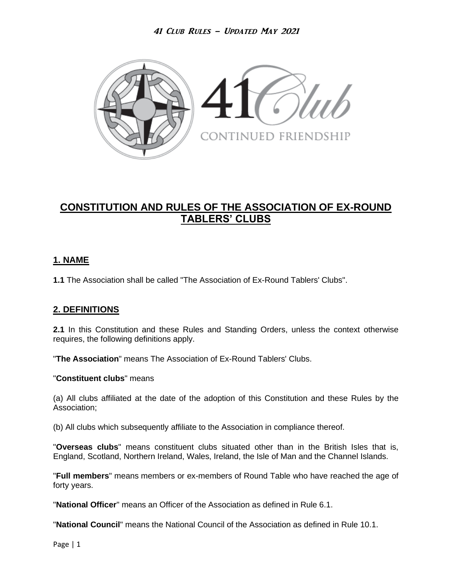

# **CONSTITUTION AND RULES OF THE ASSOCIATION OF EX-ROUND TABLERS' CLUBS**

### **1. NAME**

**1.1** The Association shall be called "The Association of Ex-Round Tablers' Clubs".

# **2. DEFINITIONS**

**2.1** In this Constitution and these Rules and Standing Orders, unless the context otherwise requires, the following definitions apply.

"**The Association**" means The Association of Ex-Round Tablers' Clubs.

#### "**Constituent clubs**" means

(a) All clubs affiliated at the date of the adoption of this Constitution and these Rules by the Association;

(b) All clubs which subsequently affiliate to the Association in compliance thereof.

"**Overseas clubs**" means constituent clubs situated other than in the British Isles that is, England, Scotland, Northern Ireland, Wales, Ireland, the Isle of Man and the Channel Islands.

"**Full members**" means members or ex-members of Round Table who have reached the age of forty years.

"**National Officer**" means an Officer of the Association as defined in Rule 6.1.

"**National Council**" means the National Council of the Association as defined in Rule 10.1.

Page | 1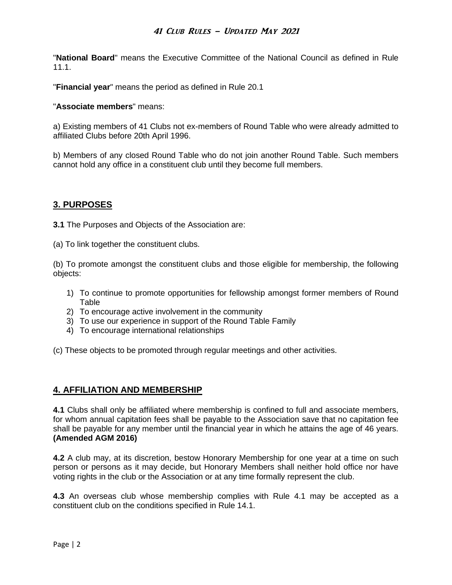"**National Board**" means the Executive Committee of the National Council as defined in Rule 11.1.

"**Financial year**" means the period as defined in Rule 20.1

#### "**Associate members**" means:

a) Existing members of 41 Clubs not ex-members of Round Table who were already admitted to affiliated Clubs before 20th April 1996.

b) Members of any closed Round Table who do not join another Round Table. Such members cannot hold any office in a constituent club until they become full members.

### **3. PURPOSES**

**3.1** The Purposes and Objects of the Association are:

(a) To link together the constituent clubs.

(b) To promote amongst the constituent clubs and those eligible for membership, the following objects:

- 1) To continue to promote opportunities for fellowship amongst former members of Round Table
- 2) To encourage active involvement in the community
- 3) To use our experience in support of the Round Table Family
- 4) To encourage international relationships

(c) These objects to be promoted through regular meetings and other activities.

#### **4. AFFILIATION AND MEMBERSHIP**

**4.1** Clubs shall only be affiliated where membership is confined to full and associate members, for whom annual capitation fees shall be payable to the Association save that no capitation fee shall be payable for any member until the financial year in which he attains the age of 46 years. **(Amended AGM 2016)**

**4.2** A club may, at its discretion, bestow Honorary Membership for one year at a time on such person or persons as it may decide, but Honorary Members shall neither hold office nor have voting rights in the club or the Association or at any time formally represent the club.

**4.3** An overseas club whose membership complies with Rule 4.1 may be accepted as a constituent club on the conditions specified in Rule 14.1.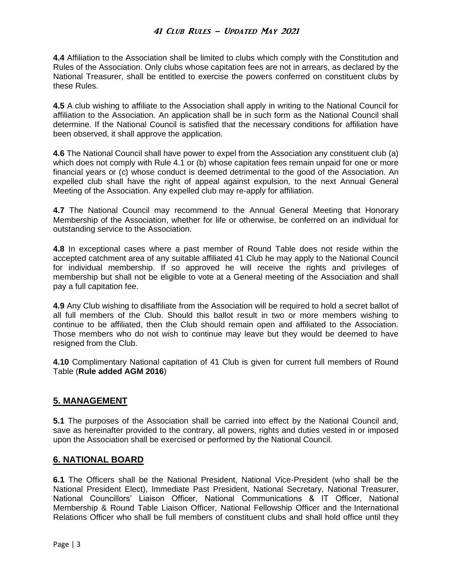**4.4** Affiliation to the Association shall be limited to clubs which comply with the Constitution and Rules of the Association. Only clubs whose capitation fees are not in arrears, as declared by the National Treasurer, shall be entitled to exercise the powers conferred on constituent clubs by these Rules.

**4.5** A club wishing to affiliate to the Association shall apply in writing to the National Council for affiliation to the Association. An application shall be in such form as the National Council shall determine. If the National Council is satisfied that the necessary conditions for affiliation have been observed, it shall approve the application.

**4.6** The National Council shall have power to expel from the Association any constituent club (a) which does not comply with Rule 4.1 or (b) whose capitation fees remain unpaid for one or more financial years or (c) whose conduct is deemed detrimental to the good of the Association. An expelled club shall have the right of appeal against expulsion, to the next Annual General Meeting of the Association. Any expelled club may re-apply for affiliation.

**4.7** The National Council may recommend to the Annual General Meeting that Honorary Membership of the Association, whether for life or otherwise, be conferred on an individual for outstanding service to the Association.

**4.8** In exceptional cases where a past member of Round Table does not reside within the accepted catchment area of any suitable affiliated 41 Club he may apply to the National Council for individual membership. If so approved he will receive the rights and privileges of membership but shall not be eligible to vote at a General meeting of the Association and shall pay a full capitation fee.

**4.9** Any Club wishing to disaffiliate from the Association will be required to hold a secret ballot of all full members of the Club. Should this ballot result in two or more members wishing to continue to be affiliated, then the Club should remain open and affiliated to the Association. Those members who do not wish to continue may leave but they would be deemed to have resigned from the Club.

**4.10** Complimentary National capitation of 41 Club is given for current full members of Round Table (**Rule added AGM 2016**)

#### **5. MANAGEMENT**

**5.1** The purposes of the Association shall be carried into effect by the National Council and, save as hereinafter provided to the contrary, all powers, rights and duties vested in or imposed upon the Association shall be exercised or performed by the National Council.

#### **6. NATIONAL BOARD**

**6.1** The Officers shall be the National President, National Vice-President (who shall be the National President Elect), Immediate Past President, National Secretary, National Treasurer, National Councillors' Liaison Officer, National Communications & IT Officer, National Membership & Round Table Liaison Officer, National Fellowship Officer and the International Relations Officer who shall be full members of constituent clubs and shall hold office until they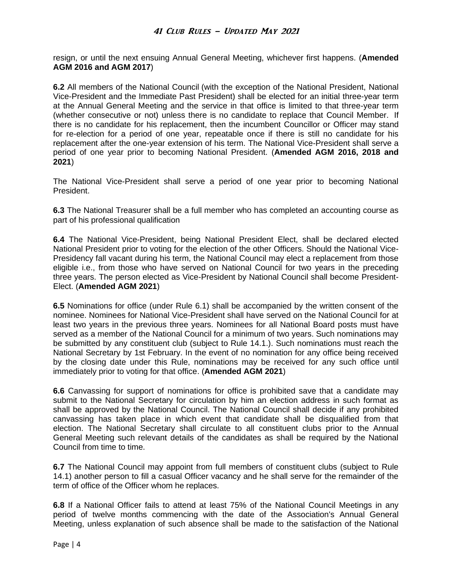resign, or until the next ensuing Annual General Meeting, whichever first happens. (**Amended AGM 2016 and AGM 2017**)

**6.2** All members of the National Council (with the exception of the National President, National Vice-President and the Immediate Past President) shall be elected for an initial three-year term at the Annual General Meeting and the service in that office is limited to that three-year term (whether consecutive or not) unless there is no candidate to replace that Council Member. If there is no candidate for his replacement, then the incumbent Councillor or Officer may stand for re-election for a period of one year, repeatable once if there is still no candidate for his replacement after the one-year extension of his term. The National Vice-President shall serve a period of one year prior to becoming National President. (**Amended AGM 2016, 2018 and 2021**)

The National Vice-President shall serve a period of one year prior to becoming National President.

**6.3** The National Treasurer shall be a full member who has completed an accounting course as part of his professional qualification

**6.4** The National Vice-President, being National President Elect, shall be declared elected National President prior to voting for the election of the other Officers. Should the National Vice-Presidency fall vacant during his term, the National Council may elect a replacement from those eligible i.e., from those who have served on National Council for two years in the preceding three years. The person elected as Vice-President by National Council shall become President-Elect. (**Amended AGM 2021**)

**6.5** Nominations for office (under Rule 6.1) shall be accompanied by the written consent of the nominee. Nominees for National Vice-President shall have served on the National Council for at least two years in the previous three years. Nominees for all National Board posts must have served as a member of the National Council for a minimum of two years. Such nominations may be submitted by any constituent club (subject to Rule 14.1.). Such nominations must reach the National Secretary by 1st February. In the event of no nomination for any office being received by the closing date under this Rule, nominations may be received for any such office until immediately prior to voting for that office. (**Amended AGM 2021**)

**6.6** Canvassing for support of nominations for office is prohibited save that a candidate may submit to the National Secretary for circulation by him an election address in such format as shall be approved by the National Council. The National Council shall decide if any prohibited canvassing has taken place in which event that candidate shall be disqualified from that election. The National Secretary shall circulate to all constituent clubs prior to the Annual General Meeting such relevant details of the candidates as shall be required by the National Council from time to time.

**6.7** The National Council may appoint from full members of constituent clubs (subject to Rule 14.1) another person to fill a casual Officer vacancy and he shall serve for the remainder of the term of office of the Officer whom he replaces.

**6.8** If a National Officer fails to attend at least 75% of the National Council Meetings in any period of twelve months commencing with the date of the Association's Annual General Meeting, unless explanation of such absence shall be made to the satisfaction of the National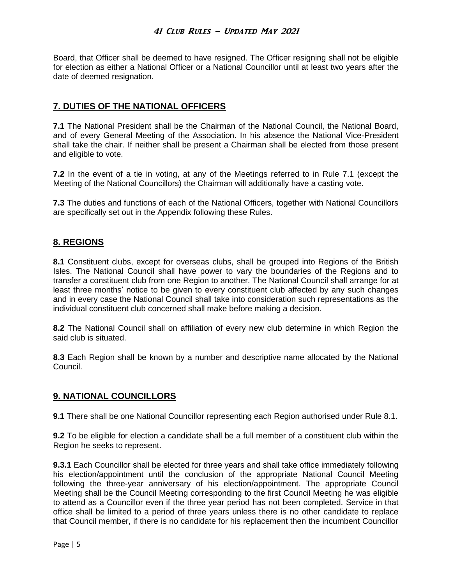Board, that Officer shall be deemed to have resigned. The Officer resigning shall not be eligible for election as either a National Officer or a National Councillor until at least two years after the date of deemed resignation.

# **7. DUTIES OF THE NATIONAL OFFICERS**

**7.1** The National President shall be the Chairman of the National Council, the National Board, and of every General Meeting of the Association. In his absence the National Vice-President shall take the chair. If neither shall be present a Chairman shall be elected from those present and eligible to vote.

**7.2** In the event of a tie in voting, at any of the Meetings referred to in Rule 7.1 (except the Meeting of the National Councillors) the Chairman will additionally have a casting vote.

**7.3** The duties and functions of each of the National Officers, together with National Councillors are specifically set out in the Appendix following these Rules.

### **8. REGIONS**

**8.1** Constituent clubs, except for overseas clubs, shall be grouped into Regions of the British Isles. The National Council shall have power to vary the boundaries of the Regions and to transfer a constituent club from one Region to another. The National Council shall arrange for at least three months' notice to be given to every constituent club affected by any such changes and in every case the National Council shall take into consideration such representations as the individual constituent club concerned shall make before making a decision.

**8.2** The National Council shall on affiliation of every new club determine in which Region the said club is situated.

**8.3** Each Region shall be known by a number and descriptive name allocated by the National Council.

#### **9. NATIONAL COUNCILLORS**

**9.1** There shall be one National Councillor representing each Region authorised under Rule 8.1.

**9.2** To be eligible for election a candidate shall be a full member of a constituent club within the Region he seeks to represent.

**9.3.1** Each Councillor shall be elected for three years and shall take office immediately following his election/appointment until the conclusion of the appropriate National Council Meeting following the three-year anniversary of his election/appointment. The appropriate Council Meeting shall be the Council Meeting corresponding to the first Council Meeting he was eligible to attend as a Councillor even if the three year period has not been completed. Service in that office shall be limited to a period of three years unless there is no other candidate to replace that Council member, if there is no candidate for his replacement then the incumbent Councillor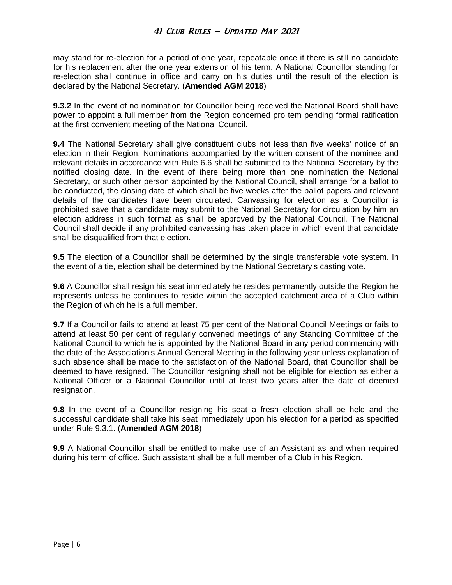may stand for re-election for a period of one year, repeatable once if there is still no candidate for his replacement after the one year extension of his term. A National Councillor standing for re-election shall continue in office and carry on his duties until the result of the election is declared by the National Secretary. (**Amended AGM 2018**)

**9.3.2** In the event of no nomination for Councillor being received the National Board shall have power to appoint a full member from the Region concerned pro tem pending formal ratification at the first convenient meeting of the National Council.

**9.4** The National Secretary shall give constituent clubs not less than five weeks' notice of an election in their Region. Nominations accompanied by the written consent of the nominee and relevant details in accordance with Rule 6.6 shall be submitted to the National Secretary by the notified closing date. In the event of there being more than one nomination the National Secretary, or such other person appointed by the National Council, shall arrange for a ballot to be conducted, the closing date of which shall be five weeks after the ballot papers and relevant details of the candidates have been circulated. Canvassing for election as a Councillor is prohibited save that a candidate may submit to the National Secretary for circulation by him an election address in such format as shall be approved by the National Council. The National Council shall decide if any prohibited canvassing has taken place in which event that candidate shall be disqualified from that election.

**9.5** The election of a Councillor shall be determined by the single transferable vote system. In the event of a tie, election shall be determined by the National Secretary's casting vote.

**9.6** A Councillor shall resign his seat immediately he resides permanently outside the Region he represents unless he continues to reside within the accepted catchment area of a Club within the Region of which he is a full member.

**9.7** If a Councillor fails to attend at least 75 per cent of the National Council Meetings or fails to attend at least 50 per cent of regularly convened meetings of any Standing Committee of the National Council to which he is appointed by the National Board in any period commencing with the date of the Association's Annual General Meeting in the following year unless explanation of such absence shall be made to the satisfaction of the National Board, that Councillor shall be deemed to have resigned. The Councillor resigning shall not be eligible for election as either a National Officer or a National Councillor until at least two years after the date of deemed resignation.

**9.8** In the event of a Councillor resigning his seat a fresh election shall be held and the successful candidate shall take his seat immediately upon his election for a period as specified under Rule 9.3.1. (**Amended AGM 2018**)

**9.9** A National Councillor shall be entitled to make use of an Assistant as and when required during his term of office. Such assistant shall be a full member of a Club in his Region.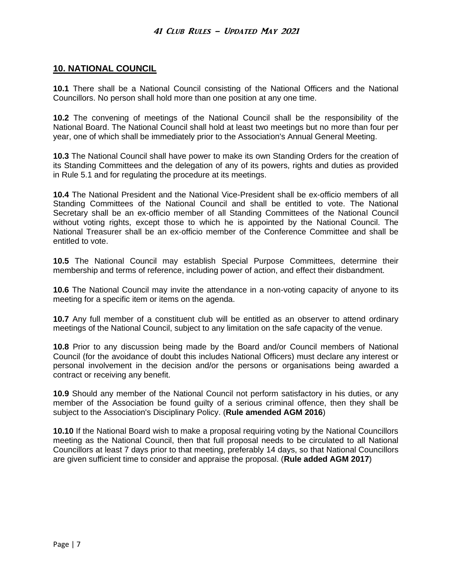### **10. NATIONAL COUNCIL**

**10.1** There shall be a National Council consisting of the National Officers and the National Councillors. No person shall hold more than one position at any one time.

**10.2** The convening of meetings of the National Council shall be the responsibility of the National Board. The National Council shall hold at least two meetings but no more than four per year, one of which shall be immediately prior to the Association's Annual General Meeting.

**10.3** The National Council shall have power to make its own Standing Orders for the creation of its Standing Committees and the delegation of any of its powers, rights and duties as provided in Rule 5.1 and for regulating the procedure at its meetings.

**10.4** The National President and the National Vice-President shall be ex-officio members of all Standing Committees of the National Council and shall be entitled to vote. The National Secretary shall be an ex-officio member of all Standing Committees of the National Council without voting rights, except those to which he is appointed by the National Council. The National Treasurer shall be an ex-officio member of the Conference Committee and shall be entitled to vote.

**10.5** The National Council may establish Special Purpose Committees, determine their membership and terms of reference, including power of action, and effect their disbandment.

**10.6** The National Council may invite the attendance in a non-voting capacity of anyone to its meeting for a specific item or items on the agenda.

**10.7** Any full member of a constituent club will be entitled as an observer to attend ordinary meetings of the National Council, subject to any limitation on the safe capacity of the venue.

**10.8** Prior to any discussion being made by the Board and/or Council members of National Council (for the avoidance of doubt this includes National Officers) must declare any interest or personal involvement in the decision and/or the persons or organisations being awarded a contract or receiving any benefit.

**10.9** Should any member of the National Council not perform satisfactory in his duties, or any member of the Association be found guilty of a serious criminal offence, then they shall be subject to the Association's Disciplinary Policy. (**Rule amended AGM 2016**)

**10.10** If the National Board wish to make a proposal requiring voting by the National Councillors meeting as the National Council, then that full proposal needs to be circulated to all National Councillors at least 7 days prior to that meeting, preferably 14 days, so that National Councillors are given sufficient time to consider and appraise the proposal. (**Rule added AGM 2017**)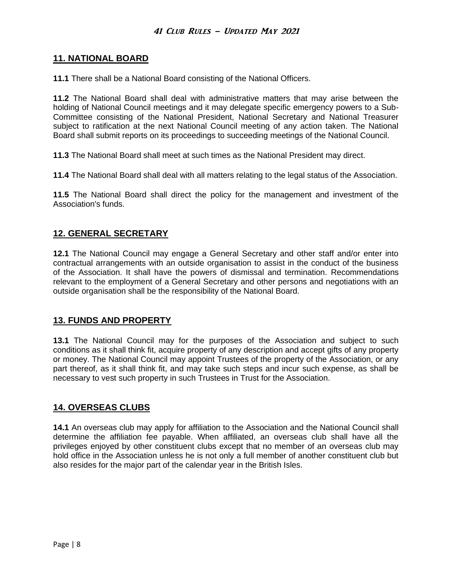### **11. NATIONAL BOARD**

**11.1** There shall be a National Board consisting of the National Officers.

**11.2** The National Board shall deal with administrative matters that may arise between the holding of National Council meetings and it may delegate specific emergency powers to a Sub-Committee consisting of the National President, National Secretary and National Treasurer subject to ratification at the next National Council meeting of any action taken. The National Board shall submit reports on its proceedings to succeeding meetings of the National Council.

**11.3** The National Board shall meet at such times as the National President may direct.

**11.4** The National Board shall deal with all matters relating to the legal status of the Association.

**11.5** The National Board shall direct the policy for the management and investment of the Association's funds.

# **12. GENERAL SECRETARY**

**12.1** The National Council may engage a General Secretary and other staff and/or enter into contractual arrangements with an outside organisation to assist in the conduct of the business of the Association. It shall have the powers of dismissal and termination. Recommendations relevant to the employment of a General Secretary and other persons and negotiations with an outside organisation shall be the responsibility of the National Board.

# **13. FUNDS AND PROPERTY**

**13.1** The National Council may for the purposes of the Association and subject to such conditions as it shall think fit, acquire property of any description and accept gifts of any property or money. The National Council may appoint Trustees of the property of the Association, or any part thereof, as it shall think fit, and may take such steps and incur such expense, as shall be necessary to vest such property in such Trustees in Trust for the Association.

# **14. OVERSEAS CLUBS**

**14.1** An overseas club may apply for affiliation to the Association and the National Council shall determine the affiliation fee payable. When affiliated, an overseas club shall have all the privileges enjoyed by other constituent clubs except that no member of an overseas club may hold office in the Association unless he is not only a full member of another constituent club but also resides for the major part of the calendar year in the British Isles.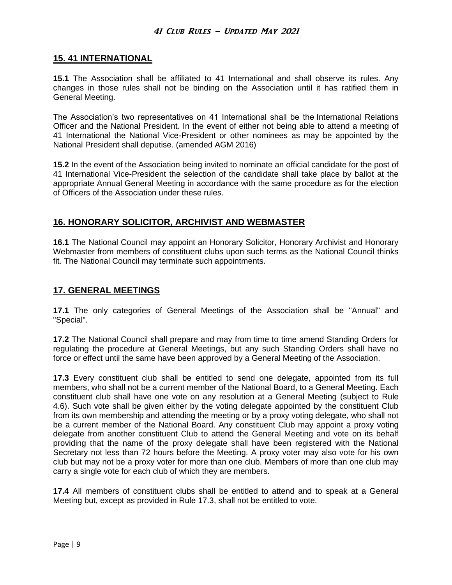#### **15. 41 INTERNATIONAL**

**15.1** The Association shall be affiliated to 41 International and shall observe its rules. Any changes in those rules shall not be binding on the Association until it has ratified them in General Meeting.

The Association's two representatives on 41 International shall be the International Relations Officer and the National President. In the event of either not being able to attend a meeting of 41 International the National Vice-President or other nominees as may be appointed by the National President shall deputise. (amended AGM 2016)

**15.2** In the event of the Association being invited to nominate an official candidate for the post of 41 International Vice-President the selection of the candidate shall take place by ballot at the appropriate Annual General Meeting in accordance with the same procedure as for the election of Officers of the Association under these rules.

# **16. HONORARY SOLICITOR, ARCHIVIST AND WEBMASTER**

**16.1** The National Council may appoint an Honorary Solicitor, Honorary Archivist and Honorary Webmaster from members of constituent clubs upon such terms as the National Council thinks fit. The National Council may terminate such appointments.

#### **17. GENERAL MEETINGS**

**17.1** The only categories of General Meetings of the Association shall be "Annual" and "Special".

**17.2** The National Council shall prepare and may from time to time amend Standing Orders for regulating the procedure at General Meetings, but any such Standing Orders shall have no force or effect until the same have been approved by a General Meeting of the Association.

**17.3** Every constituent club shall be entitled to send one delegate, appointed from its full members, who shall not be a current member of the National Board, to a General Meeting. Each constituent club shall have one vote on any resolution at a General Meeting (subject to Rule 4.6). Such vote shall be given either by the voting delegate appointed by the constituent Club from its own membership and attending the meeting or by a proxy voting delegate, who shall not be a current member of the National Board. Any constituent Club may appoint a proxy voting delegate from another constituent Club to attend the General Meeting and vote on its behalf providing that the name of the proxy delegate shall have been registered with the National Secretary not less than 72 hours before the Meeting. A proxy voter may also vote for his own club but may not be a proxy voter for more than one club. Members of more than one club may carry a single vote for each club of which they are members.

**17.4** All members of constituent clubs shall be entitled to attend and to speak at a General Meeting but, except as provided in Rule 17.3, shall not be entitled to vote.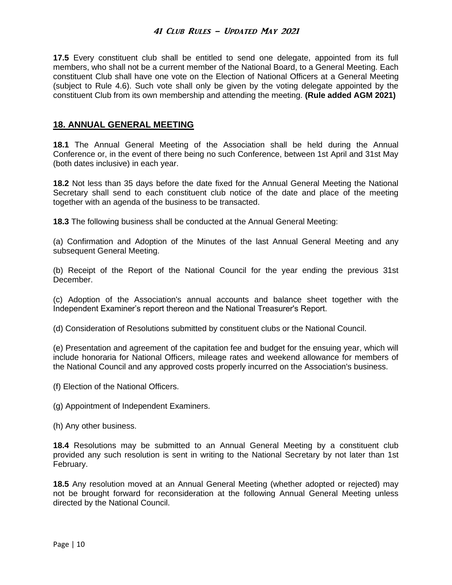**17.5** Every constituent club shall be entitled to send one delegate, appointed from its full members, who shall not be a current member of the National Board, to a General Meeting. Each constituent Club shall have one vote on the Election of National Officers at a General Meeting (subject to Rule 4.6). Such vote shall only be given by the voting delegate appointed by the constituent Club from its own membership and attending the meeting. **(Rule added AGM 2021)**

#### **18. ANNUAL GENERAL MEETING**

**18.1** The Annual General Meeting of the Association shall be held during the Annual Conference or, in the event of there being no such Conference, between 1st April and 31st May (both dates inclusive) in each year.

**18.2** Not less than 35 days before the date fixed for the Annual General Meeting the National Secretary shall send to each constituent club notice of the date and place of the meeting together with an agenda of the business to be transacted.

**18.3** The following business shall be conducted at the Annual General Meeting:

(a) Confirmation and Adoption of the Minutes of the last Annual General Meeting and any subsequent General Meeting.

(b) Receipt of the Report of the National Council for the year ending the previous 31st December.

(c) Adoption of the Association's annual accounts and balance sheet together with the Independent Examiner's report thereon and the National Treasurer's Report.

(d) Consideration of Resolutions submitted by constituent clubs or the National Council.

(e) Presentation and agreement of the capitation fee and budget for the ensuing year, which will include honoraria for National Officers, mileage rates and weekend allowance for members of the National Council and any approved costs properly incurred on the Association's business.

- (f) Election of the National Officers.
- (g) Appointment of Independent Examiners.
- (h) Any other business.

**18.4** Resolutions may be submitted to an Annual General Meeting by a constituent club provided any such resolution is sent in writing to the National Secretary by not later than 1st February.

**18.5** Any resolution moved at an Annual General Meeting (whether adopted or rejected) may not be brought forward for reconsideration at the following Annual General Meeting unless directed by the National Council.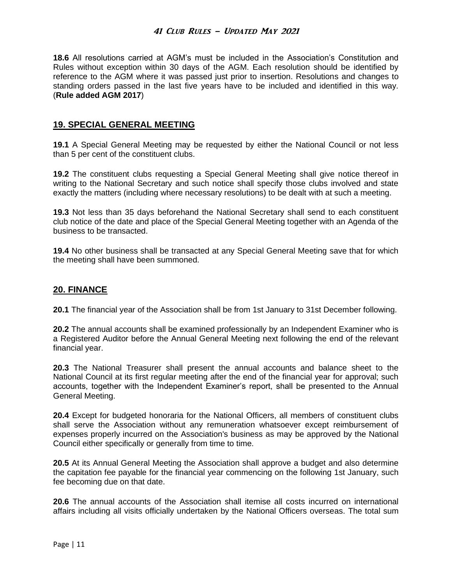**18.6** All resolutions carried at AGM's must be included in the Association's Constitution and Rules without exception within 30 days of the AGM. Each resolution should be identified by reference to the AGM where it was passed just prior to insertion. Resolutions and changes to standing orders passed in the last five years have to be included and identified in this way. (**Rule added AGM 2017**)

### **19. SPECIAL GENERAL MEETING**

**19.1** A Special General Meeting may be requested by either the National Council or not less than 5 per cent of the constituent clubs.

**19.2** The constituent clubs requesting a Special General Meeting shall give notice thereof in writing to the National Secretary and such notice shall specify those clubs involved and state exactly the matters (including where necessary resolutions) to be dealt with at such a meeting.

**19.3** Not less than 35 days beforehand the National Secretary shall send to each constituent club notice of the date and place of the Special General Meeting together with an Agenda of the business to be transacted.

**19.4** No other business shall be transacted at any Special General Meeting save that for which the meeting shall have been summoned.

# **20. FINANCE**

**20.1** The financial year of the Association shall be from 1st January to 31st December following.

**20.2** The annual accounts shall be examined professionally by an Independent Examiner who is a Registered Auditor before the Annual General Meeting next following the end of the relevant financial year.

**20.3** The National Treasurer shall present the annual accounts and balance sheet to the National Council at its first regular meeting after the end of the financial year for approval; such accounts, together with the Independent Examiner's report, shall be presented to the Annual General Meeting.

**20.4** Except for budgeted honoraria for the National Officers, all members of constituent clubs shall serve the Association without any remuneration whatsoever except reimbursement of expenses properly incurred on the Association's business as may be approved by the National Council either specifically or generally from time to time.

**20.5** At its Annual General Meeting the Association shall approve a budget and also determine the capitation fee payable for the financial year commencing on the following 1st January, such fee becoming due on that date.

**20.6** The annual accounts of the Association shall itemise all costs incurred on international affairs including all visits officially undertaken by the National Officers overseas. The total sum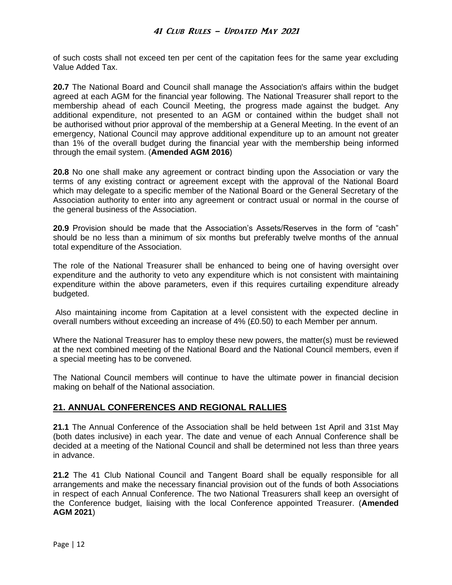of such costs shall not exceed ten per cent of the capitation fees for the same year excluding Value Added Tax.

**20.7** The National Board and Council shall manage the Association's affairs within the budget agreed at each AGM for the financial year following. The National Treasurer shall report to the membership ahead of each Council Meeting, the progress made against the budget. Any additional expenditure, not presented to an AGM or contained within the budget shall not be authorised without prior approval of the membership at a General Meeting. In the event of an emergency, National Council may approve additional expenditure up to an amount not greater than 1% of the overall budget during the financial year with the membership being informed through the email system. (**Amended AGM 2016**)

**20.8** No one shall make any agreement or contract binding upon the Association or vary the terms of any existing contract or agreement except with the approval of the National Board which may delegate to a specific member of the National Board or the General Secretary of the Association authority to enter into any agreement or contract usual or normal in the course of the general business of the Association.

**20.9** Provision should be made that the Association's Assets/Reserves in the form of "cash" should be no less than a minimum of six months but preferably twelve months of the annual total expenditure of the Association.

The role of the National Treasurer shall be enhanced to being one of having oversight over expenditure and the authority to veto any expenditure which is not consistent with maintaining expenditure within the above parameters, even if this requires curtailing expenditure already budgeted.

Also maintaining income from Capitation at a level consistent with the expected decline in overall numbers without exceeding an increase of 4% (£0.50) to each Member per annum.

Where the National Treasurer has to employ these new powers, the matter(s) must be reviewed at the next combined meeting of the National Board and the National Council members, even if a special meeting has to be convened.

The National Council members will continue to have the ultimate power in financial decision making on behalf of the National association.

# **21. ANNUAL CONFERENCES AND REGIONAL RALLIES**

**21.1** The Annual Conference of the Association shall be held between 1st April and 31st May (both dates inclusive) in each year. The date and venue of each Annual Conference shall be decided at a meeting of the National Council and shall be determined not less than three years in advance.

**21.2** The 41 Club National Council and Tangent Board shall be equally responsible for all arrangements and make the necessary financial provision out of the funds of both Associations in respect of each Annual Conference. The two National Treasurers shall keep an oversight of the Conference budget, liaising with the local Conference appointed Treasurer. (**Amended AGM 2021**)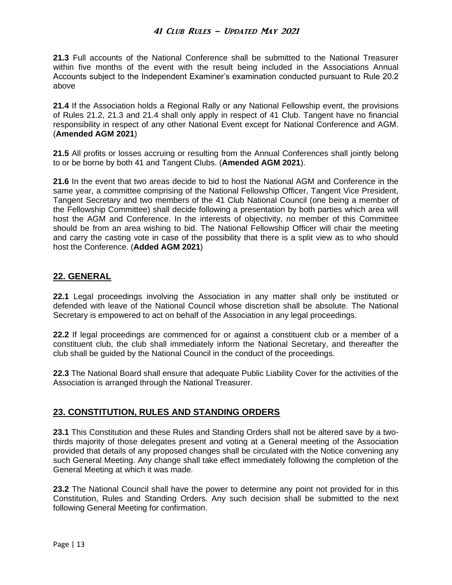**21.3** Full accounts of the National Conference shall be submitted to the National Treasurer within five months of the event with the result being included in the Associations Annual Accounts subject to the Independent Examiner's examination conducted pursuant to Rule 20.2 above

**21.4** If the Association holds a Regional Rally or any National Fellowship event, the provisions of Rules 21.2, 21.3 and 21.4 shall only apply in respect of 41 Club. Tangent have no financial responsibility in respect of any other National Event except for National Conference and AGM. (**Amended AGM 2021**)

**21.5** All profits or losses accruing or resulting from the Annual Conferences shall jointly belong to or be borne by both 41 and Tangent Clubs. (**Amended AGM 2021**).

**21.6** In the event that two areas decide to bid to host the National AGM and Conference in the same year, a committee comprising of the National Fellowship Officer, Tangent Vice President, Tangent Secretary and two members of the 41 Club National Council (one being a member of the Fellowship Committee) shall decide following a presentation by both parties which area will host the AGM and Conference. In the interests of objectivity, no member of this Committee should be from an area wishing to bid. The National Fellowship Officer will chair the meeting and carry the casting vote in case of the possibility that there is a split view as to who should host the Conference. (**Added AGM 2021**)

# **22. GENERAL**

**22.1** Legal proceedings involving the Association in any matter shall only be instituted or defended with leave of the National Council whose discretion shall be absolute. The National Secretary is empowered to act on behalf of the Association in any legal proceedings.

**22.2** If legal proceedings are commenced for or against a constituent club or a member of a constituent club, the club shall immediately inform the National Secretary, and thereafter the club shall be guided by the National Council in the conduct of the proceedings.

**22.3** The National Board shall ensure that adequate Public Liability Cover for the activities of the Association is arranged through the National Treasurer.

# **23. CONSTITUTION, RULES AND STANDING ORDERS**

**23.1** This Constitution and these Rules and Standing Orders shall not be altered save by a twothirds majority of those delegates present and voting at a General meeting of the Association provided that details of any proposed changes shall be circulated with the Notice convening any such General Meeting. Any change shall take effect immediately following the completion of the General Meeting at which it was made.

**23.2** The National Council shall have the power to determine any point not provided for in this Constitution, Rules and Standing Orders. Any such decision shall be submitted to the next following General Meeting for confirmation.